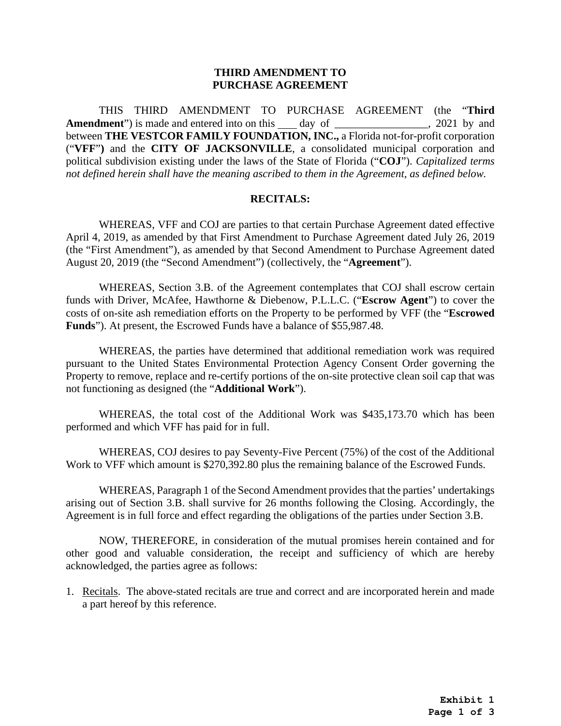## **THIRD AMENDMENT TO PURCHASE AGREEMENT**

THIS THIRD AMENDMENT TO PURCHASE AGREEMENT (the "**Third** Amendment") is made and entered into on this day of the case of the case of the case of the case of the case of the case of the case of the case of the case of the case of the case of the case of the case of the case of th between **THE VESTCOR FAMILY FOUNDATION, INC.,** a Florida not-for-profit corporation ("**VFF**"**)** and the **CITY OF JACKSONVILLE**, a consolidated municipal corporation and political subdivision existing under the laws of the State of Florida ("**COJ**"). *Capitalized terms not defined herein shall have the meaning ascribed to them in the Agreement, as defined below.* 

## **RECITALS:**

WHEREAS, VFF and COJ are parties to that certain Purchase Agreement dated effective April 4, 2019, as amended by that First Amendment to Purchase Agreement dated July 26, 2019 (the "First Amendment"), as amended by that Second Amendment to Purchase Agreement dated August 20, 2019 (the "Second Amendment") (collectively, the "**Agreement**").

WHEREAS, Section 3.B. of the Agreement contemplates that COJ shall escrow certain funds with Driver, McAfee, Hawthorne & Diebenow, P.L.L.C. ("**Escrow Agent**") to cover the costs of on-site ash remediation efforts on the Property to be performed by VFF (the "**Escrowed Funds**"). At present, the Escrowed Funds have a balance of \$55,987.48.

WHEREAS, the parties have determined that additional remediation work was required pursuant to the United States Environmental Protection Agency Consent Order governing the Property to remove, replace and re-certify portions of the on-site protective clean soil cap that was not functioning as designed (the "**Additional Work**").

WHEREAS, the total cost of the Additional Work was \$435,173.70 which has been performed and which VFF has paid for in full.

WHEREAS, COJ desires to pay Seventy-Five Percent (75%) of the cost of the Additional Work to VFF which amount is \$270,392.80 plus the remaining balance of the Escrowed Funds.

WHEREAS, Paragraph 1 of the Second Amendment provides that the parties' undertakings arising out of Section 3.B. shall survive for 26 months following the Closing. Accordingly, the Agreement is in full force and effect regarding the obligations of the parties under Section 3.B.

NOW, THEREFORE, in consideration of the mutual promises herein contained and for other good and valuable consideration, the receipt and sufficiency of which are hereby acknowledged, the parties agree as follows:

1. Recitals. The above-stated recitals are true and correct and are incorporated herein and made a part hereof by this reference.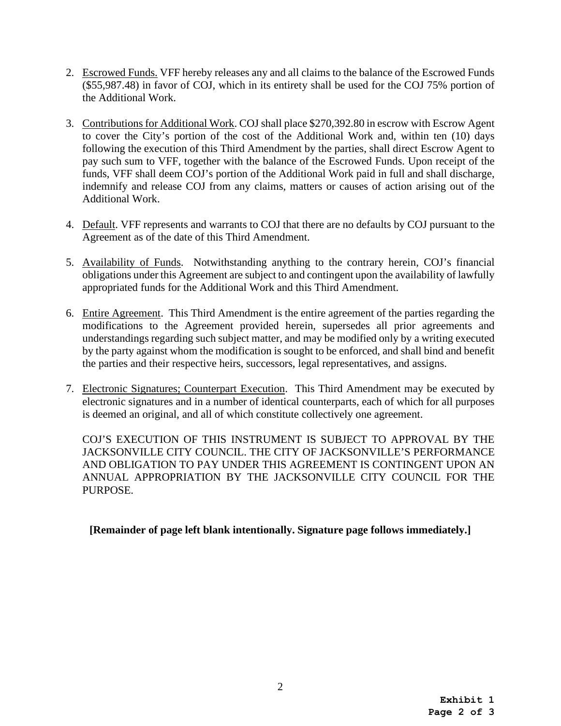- 2. Escrowed Funds. VFF hereby releases any and all claims to the balance of the Escrowed Funds (\$55,987.48) in favor of COJ, which in its entirety shall be used for the COJ 75% portion of the Additional Work.
- 3. Contributions for Additional Work. COJ shall place \$270,392.80 in escrow with Escrow Agent to cover the City's portion of the cost of the Additional Work and, within ten (10) days following the execution of this Third Amendment by the parties, shall direct Escrow Agent to pay such sum to VFF, together with the balance of the Escrowed Funds. Upon receipt of the funds, VFF shall deem COJ's portion of the Additional Work paid in full and shall discharge, indemnify and release COJ from any claims, matters or causes of action arising out of the Additional Work.
- 4. Default. VFF represents and warrants to COJ that there are no defaults by COJ pursuant to the Agreement as of the date of this Third Amendment.
- 5. Availability of Funds. Notwithstanding anything to the contrary herein, COJ's financial obligations under this Agreement are subject to and contingent upon the availability of lawfully appropriated funds for the Additional Work and this Third Amendment.
- 6. Entire Agreement. This Third Amendment is the entire agreement of the parties regarding the modifications to the Agreement provided herein, supersedes all prior agreements and understandings regarding such subject matter, and may be modified only by a writing executed by the party against whom the modification is sought to be enforced, and shall bind and benefit the parties and their respective heirs, successors, legal representatives, and assigns.
- 7. Electronic Signatures; Counterpart Execution. This Third Amendment may be executed by electronic signatures and in a number of identical counterparts, each of which for all purposes is deemed an original, and all of which constitute collectively one agreement.

COJ'S EXECUTION OF THIS INSTRUMENT IS SUBJECT TO APPROVAL BY THE JACKSONVILLE CITY COUNCIL. THE CITY OF JACKSONVILLE'S PERFORMANCE AND OBLIGATION TO PAY UNDER THIS AGREEMENT IS CONTINGENT UPON AN ANNUAL APPROPRIATION BY THE JACKSONVILLE CITY COUNCIL FOR THE PURPOSE.

**[Remainder of page left blank intentionally. Signature page follows immediately.]**